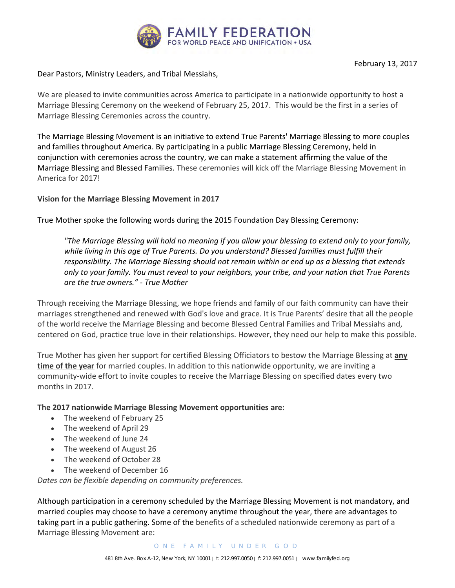

Dear Pastors, Ministry Leaders, and Tribal Messiahs,

We are pleased to invite communities across America to participate in a nationwide opportunity to host a Marriage Blessing Ceremony on the weekend of February 25, 2017. This would be the first in a series of Marriage Blessing Ceremonies across the country.

The Marriage Blessing Movement is an initiative to extend True Parents' Marriage Blessing to more couples and families throughout America. By participating in a public Marriage Blessing Ceremony, held in conjunction with ceremonies across the country, we can make a statement affirming the value of the Marriage Blessing and Blessed Families. These ceremonies will kick off the Marriage Blessing Movement in America for 2017!

## **Vision for the Marriage Blessing Movement in 2017**

True Mother spoke the following words during the 2015 Foundation Day Blessing Ceremony:

*"The Marriage Blessing will hold no meaning if you allow your blessing to extend only to your family, while living in this age of True Parents. Do you understand? Blessed families must fulfill their responsibility. The Marriage Blessing should not remain within or end up as a blessing that extends only to your family. You must reveal to your neighbors, your tribe, and your nation that True Parents are the true owners." - True Mother*

Through receiving the Marriage Blessing, we hope friends and family of our faith community can have their marriages strengthened and renewed with God's love and grace. It is True Parents' desire that all the people of the world receive the Marriage Blessing and become Blessed Central Families and Tribal Messiahs and, centered on God, practice true love in their relationships. However, they need our help to make this possible.

True Mother has given her support for certified Blessing Officiators to bestow the Marriage Blessing at **any time of the year** for married couples. In addition to this nationwide opportunity, we are inviting a community-wide effort to invite couples to receive the Marriage Blessing on specified dates every two months in 2017.

## **The 2017 nationwide Marriage Blessing Movement opportunities are:**

- The weekend of February 25
- The weekend of April 29
- The weekend of June 24
- The weekend of August 26
- The weekend of October 28
- The weekend of December 16

*Dates can be flexible depending on community preferences.* 

Although participation in a ceremony scheduled by the Marriage Blessing Movement is not mandatory, and married couples may choose to have a ceremony anytime throughout the year, there are advantages to taking part in a public gathering. Some of the benefits of a scheduled nationwide ceremony as part of a Marriage Blessing Movement are: